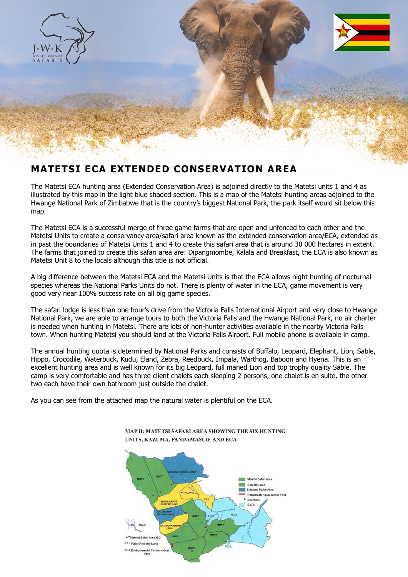

## **MATETSI ECA EXTENDED CONSERVATION AREA**

The Matetsi ECA hunting area (Extended Conservation Area) is adjoined directly to the Matetsi units 1 and 4 as illustrated by this map in the light blue shaded section. This is a map of the Matetsi hunting areas adjoined to the Hwange National Park of Zimbabwe that is the country's biggest National Park, the park itself would sit below this map.

The Matetsi ECA is a successful merge of three game farms that are open and unfenced to each other and the Matetsi Units to create a conservancy area/safari area known as the extended conservation area/ECA, extended as in past the boundaries of Matetsi Units 1 and 4 to create this safari area that is around 30 000 hectares in extent. The farms that joined to create this safari area are: Dipangmombe, Kalala and Breakfast, the ECA is also known as Matetsi Unit 8 to the locals although this title is not official.

A big difference between the Matetsi ECA and the Matetsi Units is that the ECA allows night hunting of nocturnal species whereas the National Parks Units do not. There is plenty of water in the ECA, game movement is very good very near 100% success rate on all big game species.

The safari lodge is less than one hour's drive from the Victoria Falls International Airport and very close to Hwange National Park, we are able to arrange tours to both the Victoria Falls and the Hwange National Park, no air charter is needed when hunting in Matetsi. There are lots of non-hunter activities available in the nearby Victoria Falls town. When hunting Matetsi you should land at the Victoria Falls Airport. Full mobile phone is available in camp.

The annual hunting quota is determined by National Parks and consists of Buffalo, Leopard, Elephant, Lion, Sable, Hippo, Crocodile, Waterbuck, Kudu, Eland, Zebra, Reedbuck, Impala, Warthog, Baboon and Hyena. This is an excellent hunting area and is well known for its big Leopard, full maned Lion and top trophy quality Sable. The camp is very comfortable and has three client chalets each sleeping 2 persons, one chalet is en suite, the other two each have their own bathroom just outside the chalet.

As you can see from the attached map the natural water is plentiful on the ECA.



MAP II: MATETSI SAFARI AREA SHOWING THE SIX HUNTING UNITS, KAZUMA, PANDAMASUIE AND ECA